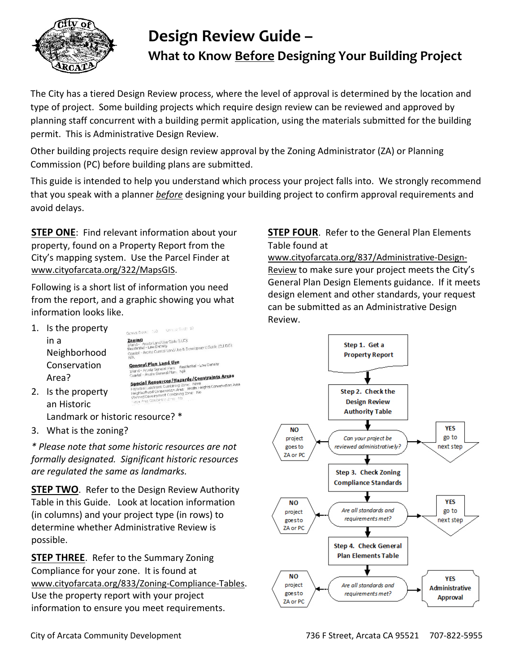

# **Design Review Guide – What to Know Before Designing Your Building Project**

The City has a tiered Design Review process, where the level of approval is determined by the location and type of project. Some building projects which require design review can be reviewed and approved by planning staff concurrent with a building permit application, using the materials submitted for the building permit. This is Administrative Design Review.

Other building projects require design review approval by the Zoning Administrator (ZA) or Planning Commission (PC) before building plans are submitted.

This guide is intended to help you understand which process your project falls into. We strongly recommend that you speak with a planner *before* designing your building project to confirm approval requirements and avoid delays.

**STEP ONE**: Find relevant information about your property, found on a Property Report from the City's mapping system. Use the Parcel Finder at [www.cityofarcata.org/322/MapsGIS.](http://www.cityofarcata.org/322/MapsGIS)

Following is a short list of information you need from the report, and a graphic showing you what information looks like.

1. Is the property Census Block: 103 Census Tizet: 10 **Zoning**<br>Inland - Arcata Land Use Code (LUC):<br>Residential - Low Density<br>Residential - Low Density in a <mark>Zominist</mark><br>Inland - Arcata Land Use Code (LUC):<br>Residential - Low Density<br>Coastal - Arcata Coastal Land Use & Development Guide (CLUDG):<br>NIA<br>NIA Neighborhood General Plan Land Use Conservation Residential - Low Density Arcata General Plan: Resk<br>- Arcata General Plan: N/A Coastal - Arcata General Plan: N/A<br> **Special Resources/Hazards/Constraints Areas**<br> **Special Resources/Hazards/Constraints** Conservation P Area? **Resources/Hazarus - Note**<br>Landmark Combining Zone: Note<br>load Conservation Area: Arcata Heights Conservation Area<br>load Conservation Area: No<br>syvelopment Combining Zone: No 2. Is the property Neighborh an Historic

Landmark or historic resource? \*

3. What is the zoning?

*\* Please note that some historic resources are not formally designated. Significant historic resources are regulated the same as landmarks.*

**STEP TWO**. Refer to the Design Review Authority Table in this Guide. Look at location information (in columns) and your project type (in rows) to determine whether Administrative Review is possible.

**STEP THREE**. Refer to the Summary Zoning Compliance for your zone. It is found at [www.cityofarcata.org/833/Zoning-Compliance-Tables.](http://www.cityofarcata.org/833/Zoning-Compliance-Tables) Use the property report with your project information to ensure you meet requirements.

## **STEP FOUR**. Refer to the General Plan Elements Table found at

[www.cityofarcata.org/837/Administrative-Design-](http://www.cityofarcata.org/837/Administrative-Design-Review)[Review](http://www.cityofarcata.org/837/Administrative-Design-Review) to make sure your project meets the City's General Plan Design Elements guidance. If it meets design element and other standards, your request can be submitted as an Administrative Design Review.

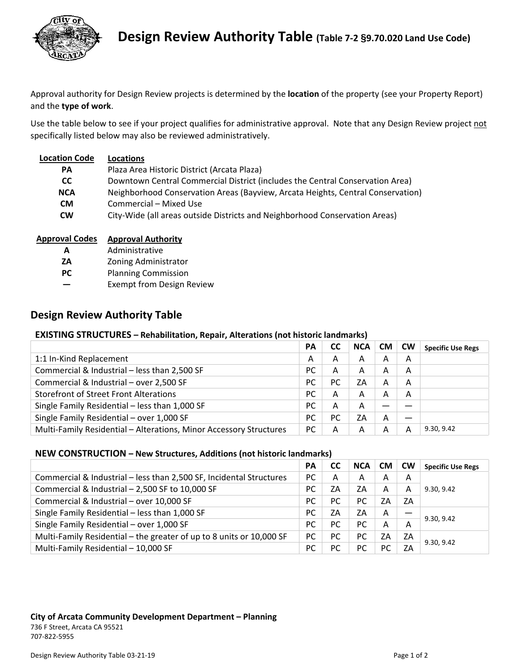

Approval authority for Design Review projects is determined by the **location** of the property (see your Property Report) and the **type of work**.

Use the table below to see if your project qualifies for administrative approval. Note that any Design Review project not specifically listed below may also be reviewed administratively.

| <b>Location Code</b> | Locations                                                                       |
|----------------------|---------------------------------------------------------------------------------|
| <b>PA</b>            | Plaza Area Historic District (Arcata Plaza)                                     |
| CC.                  | Downtown Central Commercial District (includes the Central Conservation Area)   |
| <b>NCA</b>           | Neighborhood Conservation Areas (Bayview, Arcata Heights, Central Conservation) |
| <b>CM</b>            | Commercial – Mixed Use                                                          |
| <b>CW</b>            | City-Wide (all areas outside Districts and Neighborhood Conservation Areas)     |

|--|

- **A** Administrative
- **ZA** Zoning Administrator
- **PC** Planning Commission
- **―**  Exempt from Design Review

# **Design Review Authority Table**

## **EXISTING STRUCTURES – Rehabilitation, Repair, Alterations (not historic landmarks)**

|                                                                    | PA        | CC | <b>NCA</b> | <b>CM</b> | <b>CW</b> | <b>Specific Use Regs</b> |
|--------------------------------------------------------------------|-----------|----|------------|-----------|-----------|--------------------------|
| 1:1 In-Kind Replacement                                            | А         | A  | A          | A         | A         |                          |
| Commercial & Industrial - less than 2,500 SF                       | РC        | A  | A          | А         | A         |                          |
| Commercial & Industrial - over 2,500 SF                            | PC        | PC | ZΑ         | A         | А         |                          |
| <b>Storefront of Street Front Alterations</b>                      | <b>PC</b> | А  | А          | A         | А         |                          |
| Single Family Residential - less than 1,000 SF                     | <b>PC</b> | А  | A          |           |           |                          |
| Single Family Residential - over 1,000 SF                          | <b>PC</b> | PC | ZΑ         | Α         |           |                          |
| Multi-Family Residential - Alterations, Minor Accessory Structures | РC        | А  | А          | А         | А         | 9.30, 9.42               |

## **NEW CONSTRUCTION – New Structures, Additions (not historic landmarks)**

|                                                                      | PA        | <b>CC</b> | <b>NCA</b> | <b>CM</b> | <b>CW</b> | <b>Specific Use Regs</b> |
|----------------------------------------------------------------------|-----------|-----------|------------|-----------|-----------|--------------------------|
| Commercial & Industrial - less than 2,500 SF, Incidental Structures  | PC        | А         | А          | А         | А         |                          |
| Commercial & Industrial - 2,500 SF to 10,000 SF                      | PC        | ZΑ        | ZΑ         | А         | А         | 9.30, 9.42               |
| Commercial & Industrial - over 10,000 SF                             | <b>PC</b> | PC        | PC         | ZΑ        | ZA        |                          |
| Single Family Residential - less than 1,000 SF                       | <b>PC</b> | ZΑ        | ZΑ         | A         |           | 9.30, 9.42               |
| Single Family Residential - over 1,000 SF                            | <b>PC</b> | <b>PC</b> | <b>PC</b>  | A         | Α         |                          |
| Multi-Family Residential - the greater of up to 8 units or 10,000 SF | PC        | <b>PC</b> | PC         | ZΑ        | ZΑ        | 9.30, 9.42               |
| Multi-Family Residential - 10,000 SF                                 | <b>PC</b> | PC        | РC         | PC.       | ZΑ        |                          |

#### **City of Arcata Community Development Department – Planning** 736 F Street, Arcata CA 95521 707‐822‐5955